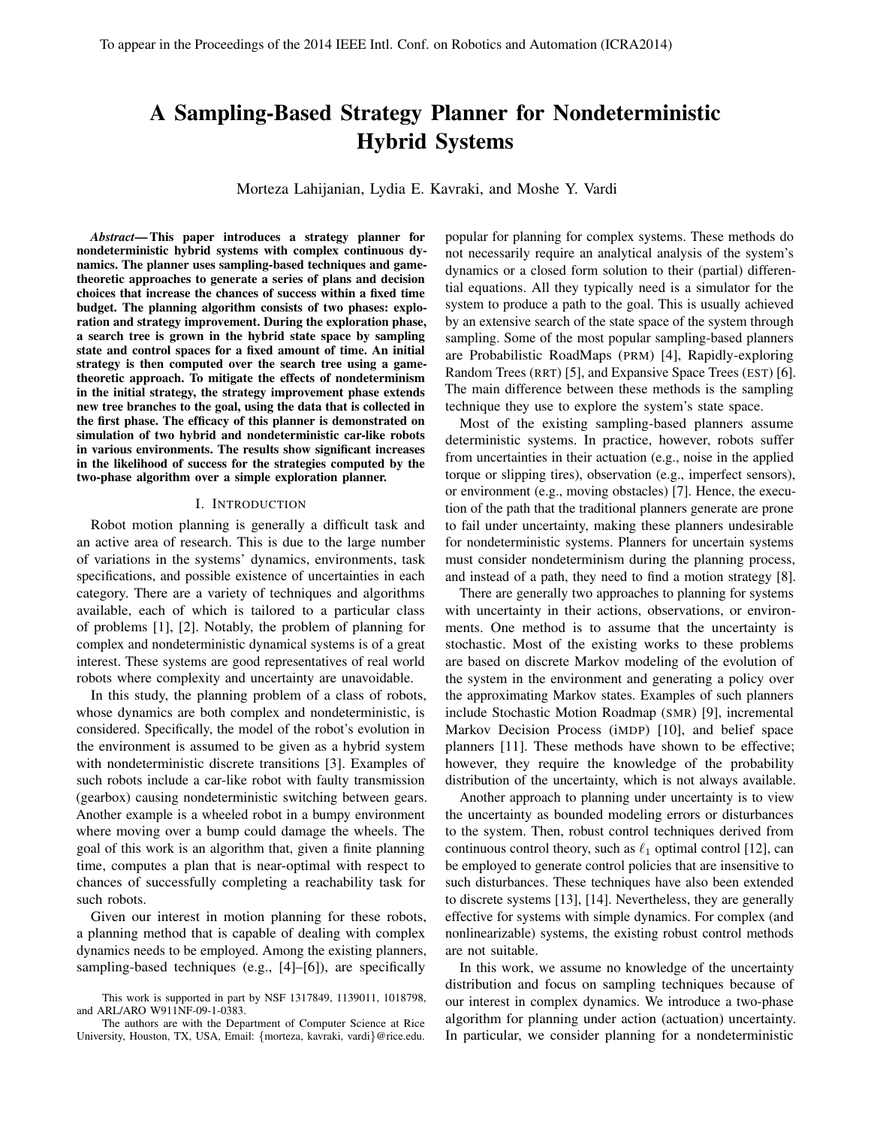# A Sampling-Based Strategy Planner for Nondeterministic Hybrid Systems

Morteza Lahijanian, Lydia E. Kavraki, and Moshe Y. Vardi

*Abstract*— This paper introduces a strategy planner for nondeterministic hybrid systems with complex continuous dynamics. The planner uses sampling-based techniques and gametheoretic approaches to generate a series of plans and decision choices that increase the chances of success within a fixed time budget. The planning algorithm consists of two phases: exploration and strategy improvement. During the exploration phase, a search tree is grown in the hybrid state space by sampling state and control spaces for a fixed amount of time. An initial strategy is then computed over the search tree using a gametheoretic approach. To mitigate the effects of nondeterminism in the initial strategy, the strategy improvement phase extends new tree branches to the goal, using the data that is collected in the first phase. The efficacy of this planner is demonstrated on simulation of two hybrid and nondeterministic car-like robots in various environments. The results show significant increases in the likelihood of success for the strategies computed by the two-phase algorithm over a simple exploration planner.

#### I. INTRODUCTION

Robot motion planning is generally a difficult task and an active area of research. This is due to the large number of variations in the systems' dynamics, environments, task specifications, and possible existence of uncertainties in each category. There are a variety of techniques and algorithms available, each of which is tailored to a particular class of problems [1], [2]. Notably, the problem of planning for complex and nondeterministic dynamical systems is of a great interest. These systems are good representatives of real world robots where complexity and uncertainty are unavoidable.

In this study, the planning problem of a class of robots, whose dynamics are both complex and nondeterministic, is considered. Specifically, the model of the robot's evolution in the environment is assumed to be given as a hybrid system with nondeterministic discrete transitions [3]. Examples of such robots include a car-like robot with faulty transmission (gearbox) causing nondeterministic switching between gears. Another example is a wheeled robot in a bumpy environment where moving over a bump could damage the wheels. The goal of this work is an algorithm that, given a finite planning time, computes a plan that is near-optimal with respect to chances of successfully completing a reachability task for such robots.

Given our interest in motion planning for these robots, a planning method that is capable of dealing with complex dynamics needs to be employed. Among the existing planners, sampling-based techniques (e.g., [4]–[6]), are specifically

popular for planning for complex systems. These methods do not necessarily require an analytical analysis of the system's dynamics or a closed form solution to their (partial) differential equations. All they typically need is a simulator for the system to produce a path to the goal. This is usually achieved by an extensive search of the state space of the system through sampling. Some of the most popular sampling-based planners are Probabilistic RoadMaps (PRM) [4], Rapidly-exploring Random Trees (RRT) [5], and Expansive Space Trees (EST) [6]. The main difference between these methods is the sampling technique they use to explore the system's state space.

Most of the existing sampling-based planners assume deterministic systems. In practice, however, robots suffer from uncertainties in their actuation (e.g., noise in the applied torque or slipping tires), observation (e.g., imperfect sensors), or environment (e.g., moving obstacles) [7]. Hence, the execution of the path that the traditional planners generate are prone to fail under uncertainty, making these planners undesirable for nondeterministic systems. Planners for uncertain systems must consider nondeterminism during the planning process, and instead of a path, they need to find a motion strategy [8].

There are generally two approaches to planning for systems with uncertainty in their actions, observations, or environments. One method is to assume that the uncertainty is stochastic. Most of the existing works to these problems are based on discrete Markov modeling of the evolution of the system in the environment and generating a policy over the approximating Markov states. Examples of such planners include Stochastic Motion Roadmap (SMR) [9], incremental Markov Decision Process (iMDP) [10], and belief space planners [11]. These methods have shown to be effective; however, they require the knowledge of the probability distribution of the uncertainty, which is not always available.

Another approach to planning under uncertainty is to view the uncertainty as bounded modeling errors or disturbances to the system. Then, robust control techniques derived from continuous control theory, such as  $\ell_1$  optimal control [12], can be employed to generate control policies that are insensitive to such disturbances. These techniques have also been extended to discrete systems [13], [14]. Nevertheless, they are generally effective for systems with simple dynamics. For complex (and nonlinearizable) systems, the existing robust control methods are not suitable.

In this work, we assume no knowledge of the uncertainty distribution and focus on sampling techniques because of our interest in complex dynamics. We introduce a two-phase algorithm for planning under action (actuation) uncertainty. In particular, we consider planning for a nondeterministic

This work is supported in part by NSF 1317849, 1139011, 1018798, and ARL/ARO W911NF-09-1-0383.

The authors are with the Department of Computer Science at Rice University, Houston, TX, USA, Email: {morteza, kavraki, vardi}@rice.edu.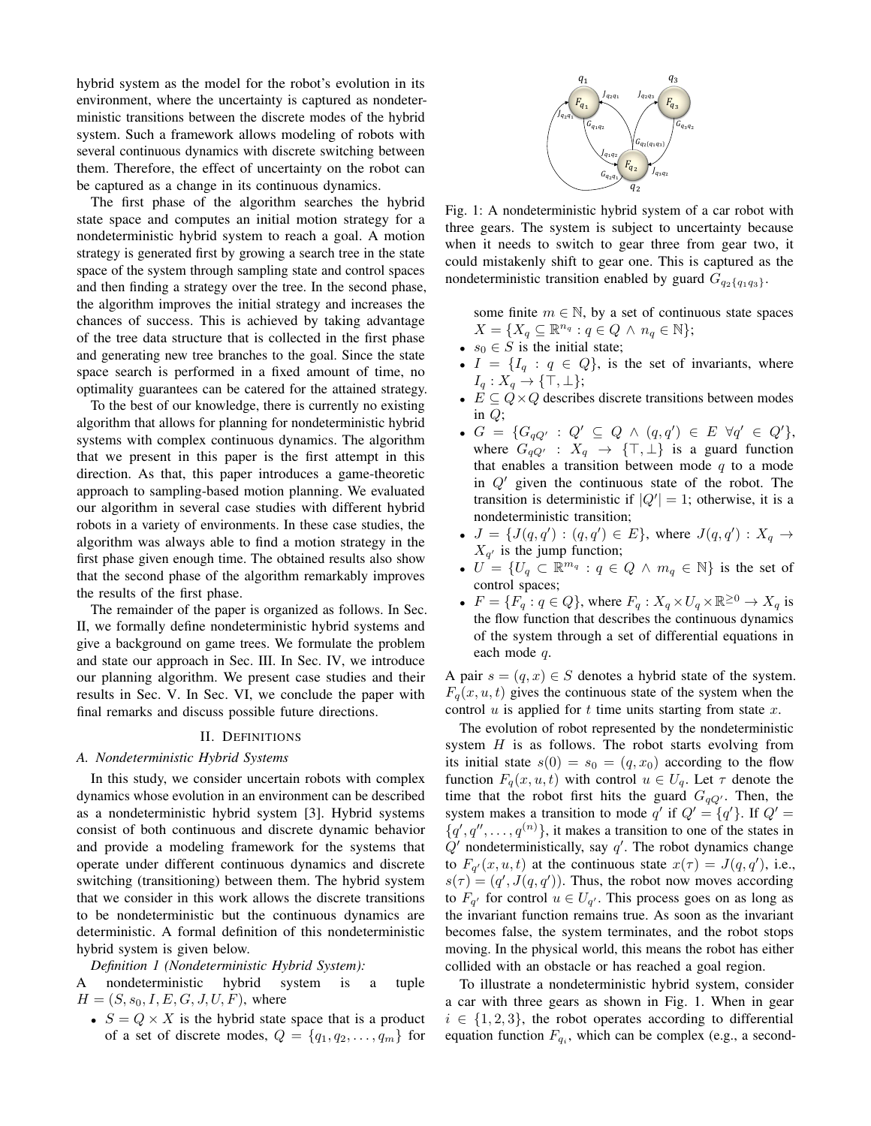hybrid system as the model for the robot's evolution in its environment, where the uncertainty is captured as nondeterministic transitions between the discrete modes of the hybrid system. Such a framework allows modeling of robots with several continuous dynamics with discrete switching between them. Therefore, the effect of uncertainty on the robot can be captured as a change in its continuous dynamics.

The first phase of the algorithm searches the hybrid state space and computes an initial motion strategy for a nondeterministic hybrid system to reach a goal. A motion strategy is generated first by growing a search tree in the state space of the system through sampling state and control spaces and then finding a strategy over the tree. In the second phase, the algorithm improves the initial strategy and increases the chances of success. This is achieved by taking advantage of the tree data structure that is collected in the first phase and generating new tree branches to the goal. Since the state space search is performed in a fixed amount of time, no optimality guarantees can be catered for the attained strategy.

To the best of our knowledge, there is currently no existing algorithm that allows for planning for nondeterministic hybrid systems with complex continuous dynamics. The algorithm that we present in this paper is the first attempt in this direction. As that, this paper introduces a game-theoretic approach to sampling-based motion planning. We evaluated our algorithm in several case studies with different hybrid robots in a variety of environments. In these case studies, the algorithm was always able to find a motion strategy in the first phase given enough time. The obtained results also show that the second phase of the algorithm remarkably improves the results of the first phase.

The remainder of the paper is organized as follows. In Sec. II, we formally define nondeterministic hybrid systems and give a background on game trees. We formulate the problem and state our approach in Sec. III. In Sec. IV, we introduce our planning algorithm. We present case studies and their results in Sec. V. In Sec. VI, we conclude the paper with final remarks and discuss possible future directions.

#### II. DEFINITIONS

### *A. Nondeterministic Hybrid Systems*

In this study, we consider uncertain robots with complex dynamics whose evolution in an environment can be described as a nondeterministic hybrid system [3]. Hybrid systems consist of both continuous and discrete dynamic behavior and provide a modeling framework for the systems that operate under different continuous dynamics and discrete switching (transitioning) between them. The hybrid system that we consider in this work allows the discrete transitions to be nondeterministic but the continuous dynamics are deterministic. A formal definition of this nondeterministic hybrid system is given below.

# *Definition 1 (Nondeterministic Hybrid System):*

A nondeterministic hybrid system is a tuple  $H = (S, s_0, I, E, G, J, U, F)$ , where

•  $S = Q \times X$  is the hybrid state space that is a product of a set of discrete modes,  $Q = \{q_1, q_2, \ldots, q_m\}$  for



Fig. 1: A nondeterministic hybrid system of a car robot with three gears. The system is subject to uncertainty because when it needs to switch to gear three from gear two, it could mistakenly shift to gear one. This is captured as the nondeterministic transition enabled by guard  $G_{q_2\{q_1q_3\}}$ .

some finite  $m \in \mathbb{N}$ , by a set of continuous state spaces  $X = \{X_q \subseteq \mathbb{R}^{n_q} : q \in Q \land n_q \in \mathbb{N}\};$ 

- $s_0 \in S$  is the initial state;
- $I = \{I_q : q \in Q\}$ , is the set of invariants, where  $I_q: X_q \to {\{\top, \bot\}};$
- $E \subseteq Q \times Q$  describes discrete transitions between modes in Q;
- $G = \{G_{qQ'} : Q' \subseteq Q \land (q,q') \in E \ \forall q' \in Q'\},\$ where  $G_{qQ'}$  :  $X_q \rightarrow {\{\top, \bot\}}$  is a guard function that enables a transition between mode  $q$  to a mode in  $Q'$  given the continuous state of the robot. The transition is deterministic if  $|Q'| = 1$ ; otherwise, it is a nondeterministic transition;
- $J = \{J(q, q') : (q, q') \in E\}$ , where  $J(q, q') : X_q \to$  $X_{q'}$  is the jump function;
- $U = \{U_q \subset \mathbb{R}^{m_q} : q \in Q \land m_q \in \mathbb{N}\}\$ is the set of control spaces;
- $F = \{F_q : q \in Q\}$ , where  $F_q : X_q \times U_q \times \mathbb{R}^{\geq 0} \to X_q$  is the flow function that describes the continuous dynamics of the system through a set of differential equations in each mode q.

A pair  $s = (q, x) \in S$  denotes a hybrid state of the system.  $F_q(x, u, t)$  gives the continuous state of the system when the control  $u$  is applied for  $t$  time units starting from state  $x$ .

The evolution of robot represented by the nondeterministic system H is as follows. The robot starts evolving from its initial state  $s(0) = s_0 = (q, x_0)$  according to the flow function  $F_q(x, u, t)$  with control  $u \in U_q$ . Let  $\tau$  denote the time that the robot first hits the guard  $G_{qQ'}$ . Then, the system makes a transition to mode q' if  $Q' = \{q'\}$ . If  $Q' =$  $\{q', q'', \ldots, q^{(n)}\}\$ , it makes a transition to one of the states in  $Q'$  nondeterministically, say  $q'$ . The robot dynamics change to  $F_{q'}(x, u, t)$  at the continuous state  $x(\tau) = J(q, q')$ , i.e.,  $s(\tau) = (q', J(q, q'))$ . Thus, the robot now moves according to  $F_{q'}$  for control  $u \in U_{q'}$ . This process goes on as long as the invariant function remains true. As soon as the invariant becomes false, the system terminates, and the robot stops moving. In the physical world, this means the robot has either collided with an obstacle or has reached a goal region.

To illustrate a nondeterministic hybrid system, consider a car with three gears as shown in Fig. 1. When in gear  $i \in \{1, 2, 3\}$ , the robot operates according to differential equation function  $F_{q_i}$ , which can be complex (e.g., a second-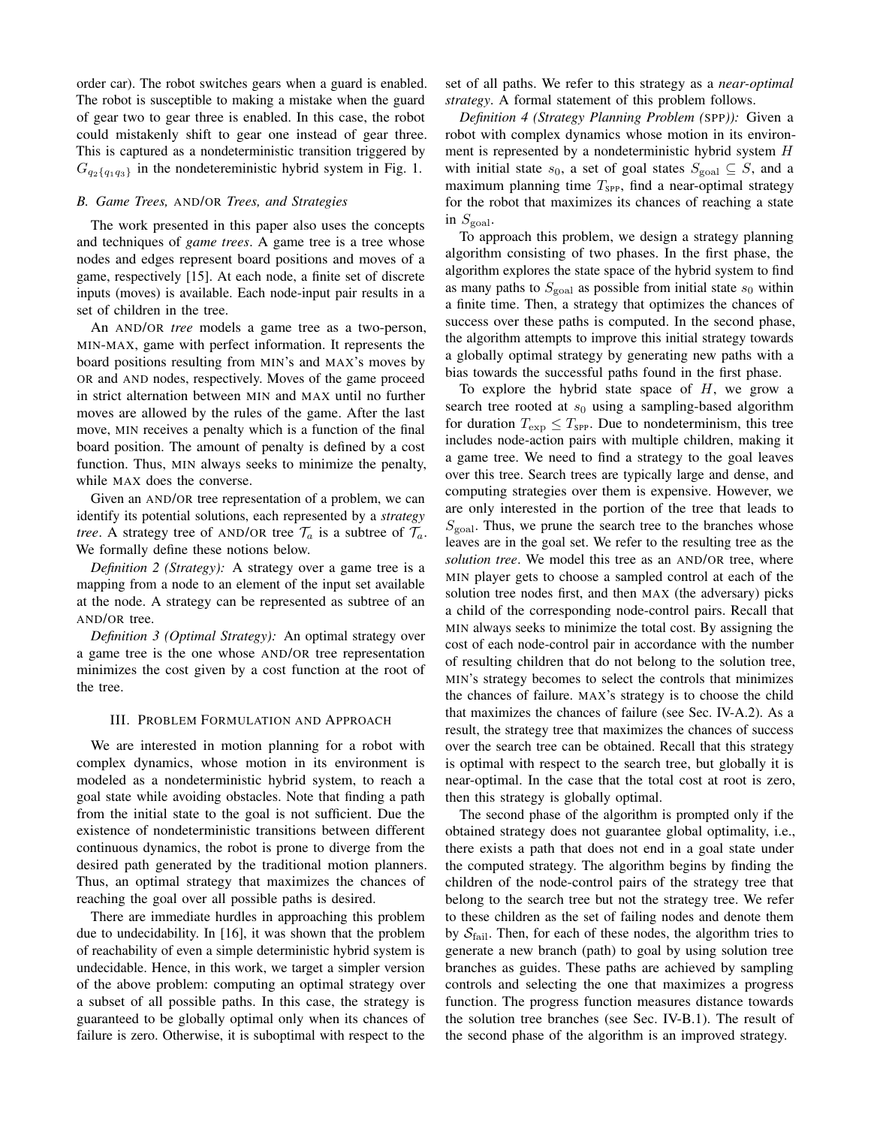order car). The robot switches gears when a guard is enabled. The robot is susceptible to making a mistake when the guard of gear two to gear three is enabled. In this case, the robot could mistakenly shift to gear one instead of gear three. This is captured as a nondeterministic transition triggered by  $G_{q_2{q_1q_3}}$  in the nondetereministic hybrid system in Fig. 1.

## *B. Game Trees,* AND/OR *Trees, and Strategies*

The work presented in this paper also uses the concepts and techniques of *game trees*. A game tree is a tree whose nodes and edges represent board positions and moves of a game, respectively [15]. At each node, a finite set of discrete inputs (moves) is available. Each node-input pair results in a set of children in the tree.

An AND/OR *tree* models a game tree as a two-person, MIN-MAX, game with perfect information. It represents the board positions resulting from MIN's and MAX's moves by OR and AND nodes, respectively. Moves of the game proceed in strict alternation between MIN and MAX until no further moves are allowed by the rules of the game. After the last move, MIN receives a penalty which is a function of the final board position. The amount of penalty is defined by a cost function. Thus, MIN always seeks to minimize the penalty, while MAX does the converse.

Given an AND/OR tree representation of a problem, we can identify its potential solutions, each represented by a *strategy tree*. A strategy tree of AND/OR tree  $\mathcal{T}_a$  is a subtree of  $\mathcal{T}_a$ . We formally define these notions below.

*Definition 2 (Strategy):* A strategy over a game tree is a mapping from a node to an element of the input set available at the node. A strategy can be represented as subtree of an AND/OR tree.

*Definition 3 (Optimal Strategy):* An optimal strategy over a game tree is the one whose AND/OR tree representation minimizes the cost given by a cost function at the root of the tree.

#### III. PROBLEM FORMULATION AND APPROACH

We are interested in motion planning for a robot with complex dynamics, whose motion in its environment is modeled as a nondeterministic hybrid system, to reach a goal state while avoiding obstacles. Note that finding a path from the initial state to the goal is not sufficient. Due the existence of nondeterministic transitions between different continuous dynamics, the robot is prone to diverge from the desired path generated by the traditional motion planners. Thus, an optimal strategy that maximizes the chances of reaching the goal over all possible paths is desired.

There are immediate hurdles in approaching this problem due to undecidability. In [16], it was shown that the problem of reachability of even a simple deterministic hybrid system is undecidable. Hence, in this work, we target a simpler version of the above problem: computing an optimal strategy over a subset of all possible paths. In this case, the strategy is guaranteed to be globally optimal only when its chances of failure is zero. Otherwise, it is suboptimal with respect to the set of all paths. We refer to this strategy as a *near-optimal strategy*. A formal statement of this problem follows.

*Definition 4 (Strategy Planning Problem (*SPP*)):* Given a robot with complex dynamics whose motion in its environment is represented by a nondeterministic hybrid system H with initial state  $s_0$ , a set of goal states  $S_{\text{goal}} \subseteq S$ , and a maximum planning time  $T_{\text{SPP}}$ , find a near-optimal strategy for the robot that maximizes its chances of reaching a state in  $S_{\text{goal}}$ .

To approach this problem, we design a strategy planning algorithm consisting of two phases. In the first phase, the algorithm explores the state space of the hybrid system to find as many paths to  $S_{\text{goal}}$  as possible from initial state  $s_0$  within a finite time. Then, a strategy that optimizes the chances of success over these paths is computed. In the second phase, the algorithm attempts to improve this initial strategy towards a globally optimal strategy by generating new paths with a bias towards the successful paths found in the first phase.

To explore the hybrid state space of  $H$ , we grow a search tree rooted at  $s_0$  using a sampling-based algorithm for duration  $T_{\text{exp}} \leq T_{\text{SPP}}$ . Due to nondeterminism, this tree includes node-action pairs with multiple children, making it a game tree. We need to find a strategy to the goal leaves over this tree. Search trees are typically large and dense, and computing strategies over them is expensive. However, we are only interested in the portion of the tree that leads to  $S_{\text{goal}}$ . Thus, we prune the search tree to the branches whose leaves are in the goal set. We refer to the resulting tree as the *solution tree*. We model this tree as an AND/OR tree, where MIN player gets to choose a sampled control at each of the solution tree nodes first, and then MAX (the adversary) picks a child of the corresponding node-control pairs. Recall that MIN always seeks to minimize the total cost. By assigning the cost of each node-control pair in accordance with the number of resulting children that do not belong to the solution tree, MIN's strategy becomes to select the controls that minimizes the chances of failure. MAX's strategy is to choose the child that maximizes the chances of failure (see Sec. IV-A.2). As a result, the strategy tree that maximizes the chances of success over the search tree can be obtained. Recall that this strategy is optimal with respect to the search tree, but globally it is near-optimal. In the case that the total cost at root is zero, then this strategy is globally optimal.

The second phase of the algorithm is prompted only if the obtained strategy does not guarantee global optimality, i.e., there exists a path that does not end in a goal state under the computed strategy. The algorithm begins by finding the children of the node-control pairs of the strategy tree that belong to the search tree but not the strategy tree. We refer to these children as the set of failing nodes and denote them by  $S<sub>fail</sub>$ . Then, for each of these nodes, the algorithm tries to generate a new branch (path) to goal by using solution tree branches as guides. These paths are achieved by sampling controls and selecting the one that maximizes a progress function. The progress function measures distance towards the solution tree branches (see Sec. IV-B.1). The result of the second phase of the algorithm is an improved strategy.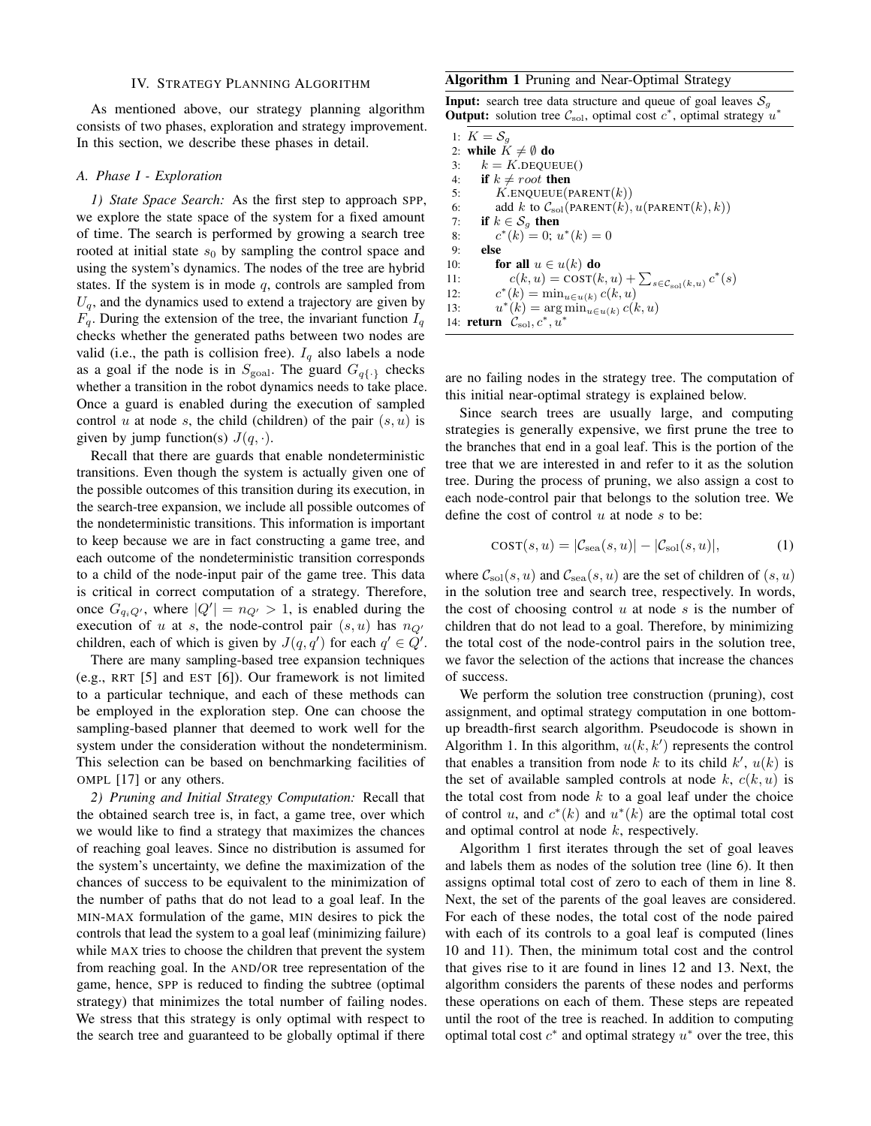### IV. STRATEGY PLANNING ALGORITHM

As mentioned above, our strategy planning algorithm consists of two phases, exploration and strategy improvement. In this section, we describe these phases in detail.

#### *A. Phase I - Exploration*

*1) State Space Search:* As the first step to approach SPP, we explore the state space of the system for a fixed amount of time. The search is performed by growing a search tree rooted at initial state  $s_0$  by sampling the control space and using the system's dynamics. The nodes of the tree are hybrid states. If the system is in mode  $q$ , controls are sampled from  $U_q$ , and the dynamics used to extend a trajectory are given by  $F_q$ . During the extension of the tree, the invariant function  $I_q$ checks whether the generated paths between two nodes are valid (i.e., the path is collision free).  $I_q$  also labels a node as a goal if the node is in  $S_{\text{goal}}$ . The guard  $G_{q\{\cdot\}}$  checks whether a transition in the robot dynamics needs to take place. Once a guard is enabled during the execution of sampled control u at node s, the child (children) of the pair  $(s, u)$  is given by jump function(s)  $J(q, \cdot)$ .

Recall that there are guards that enable nondeterministic transitions. Even though the system is actually given one of the possible outcomes of this transition during its execution, in the search-tree expansion, we include all possible outcomes of the nondeterministic transitions. This information is important to keep because we are in fact constructing a game tree, and each outcome of the nondeterministic transition corresponds to a child of the node-input pair of the game tree. This data is critical in correct computation of a strategy. Therefore, once  $G_{q_iQ'}$ , where  $|Q'| = n_{Q'} > 1$ , is enabled during the execution of u at s, the node-control pair  $(s, u)$  has  $n_{Q}$ children, each of which is given by  $J(q, q')$  for each  $q' \in Q'$ .

There are many sampling-based tree expansion techniques (e.g., RRT [5] and EST [6]). Our framework is not limited to a particular technique, and each of these methods can be employed in the exploration step. One can choose the sampling-based planner that deemed to work well for the system under the consideration without the nondeterminism. This selection can be based on benchmarking facilities of OMPL [17] or any others.

*2) Pruning and Initial Strategy Computation:* Recall that the obtained search tree is, in fact, a game tree, over which we would like to find a strategy that maximizes the chances of reaching goal leaves. Since no distribution is assumed for the system's uncertainty, we define the maximization of the chances of success to be equivalent to the minimization of the number of paths that do not lead to a goal leaf. In the MIN-MAX formulation of the game, MIN desires to pick the controls that lead the system to a goal leaf (minimizing failure) while MAX tries to choose the children that prevent the system from reaching goal. In the AND/OR tree representation of the game, hence, SPP is reduced to finding the subtree (optimal strategy) that minimizes the total number of failing nodes. We stress that this strategy is only optimal with respect to the search tree and guaranteed to be globally optimal if there

# Algorithm 1 Pruning and Near-Optimal Strategy

**Input:** search tree data structure and queue of goal leaves  $S_g$ **Output:** solution tree  $\mathcal{C}_{\text{sol}}$ , optimal cost  $c^*$ , optimal strategy  $u^*$ 

1:  $K = S_a$ 2: while  $K \neq \emptyset$  do<br>3:  $k = K$ . DEOUE  $k = K.DEQUEUE()$ 4: **if**  $k \neq root$  **then**<br>5: *K*.ENQUEUE(F  $K$ .ENQUEUE(PARENT $(k)$ ) 6: add k to  $C_{\text{sol}}(\text{PARENT}(k), u(\text{PARENT}(k), k))$ <br>7: **if**  $k \in S_a$  **then** 7: if  $k \in S_g$  then<br>8:  $c^*(k) = 0$ : u 8:  $c^*(k) = 0; u^*(k) = 0$ 9: **else**<br>10: **f** 10: **for all**  $u \in u(k)$  **do**<br>11:  $c(k, u) = \cos(\frac{k}{k})$ 11:  $c(k, u) = \cos(x, u) + \sum_{s \in \mathcal{C}_{\text{sol}}(k, u)} c^*(s)$  $12:$  $x^*(k) = \min_{u \in u(k)} c(k, u)$  $13:$  $f^*(k) = \arg \min_{u \in u(k)} c(k, u)$ 14: **return**  $C_{\text{sol}}$ ,  $c^*$ ,  $u^*$ 

are no failing nodes in the strategy tree. The computation of this initial near-optimal strategy is explained below.

Since search trees are usually large, and computing strategies is generally expensive, we first prune the tree to the branches that end in a goal leaf. This is the portion of the tree that we are interested in and refer to it as the solution tree. During the process of pruning, we also assign a cost to each node-control pair that belongs to the solution tree. We define the cost of control  $u$  at node  $s$  to be:

$$
COST(s, u) = |\mathcal{C}_{sea}(s, u)| - |\mathcal{C}_{sol}(s, u)|,
$$
 (1)

where  $\mathcal{C}_{\text{sol}}(s, u)$  and  $\mathcal{C}_{\text{sea}}(s, u)$  are the set of children of  $(s, u)$ in the solution tree and search tree, respectively. In words, the cost of choosing control  $u$  at node  $s$  is the number of children that do not lead to a goal. Therefore, by minimizing the total cost of the node-control pairs in the solution tree, we favor the selection of the actions that increase the chances of success.

We perform the solution tree construction (pruning), cost assignment, and optimal strategy computation in one bottomup breadth-first search algorithm. Pseudocode is shown in Algorithm 1. In this algorithm,  $u(k, k')$  represents the control that enables a transition from node k to its child  $k'$ ,  $u(k)$  is the set of available sampled controls at node k,  $c(k, u)$  is the total cost from node  $k$  to a goal leaf under the choice of control u, and  $c^*(k)$  and  $u^*(k)$  are the optimal total cost and optimal control at node k, respectively.

Algorithm 1 first iterates through the set of goal leaves and labels them as nodes of the solution tree (line 6). It then assigns optimal total cost of zero to each of them in line 8. Next, the set of the parents of the goal leaves are considered. For each of these nodes, the total cost of the node paired with each of its controls to a goal leaf is computed (lines 10 and 11). Then, the minimum total cost and the control that gives rise to it are found in lines 12 and 13. Next, the algorithm considers the parents of these nodes and performs these operations on each of them. These steps are repeated until the root of the tree is reached. In addition to computing optimal total cost  $c^*$  and optimal strategy  $u^*$  over the tree, this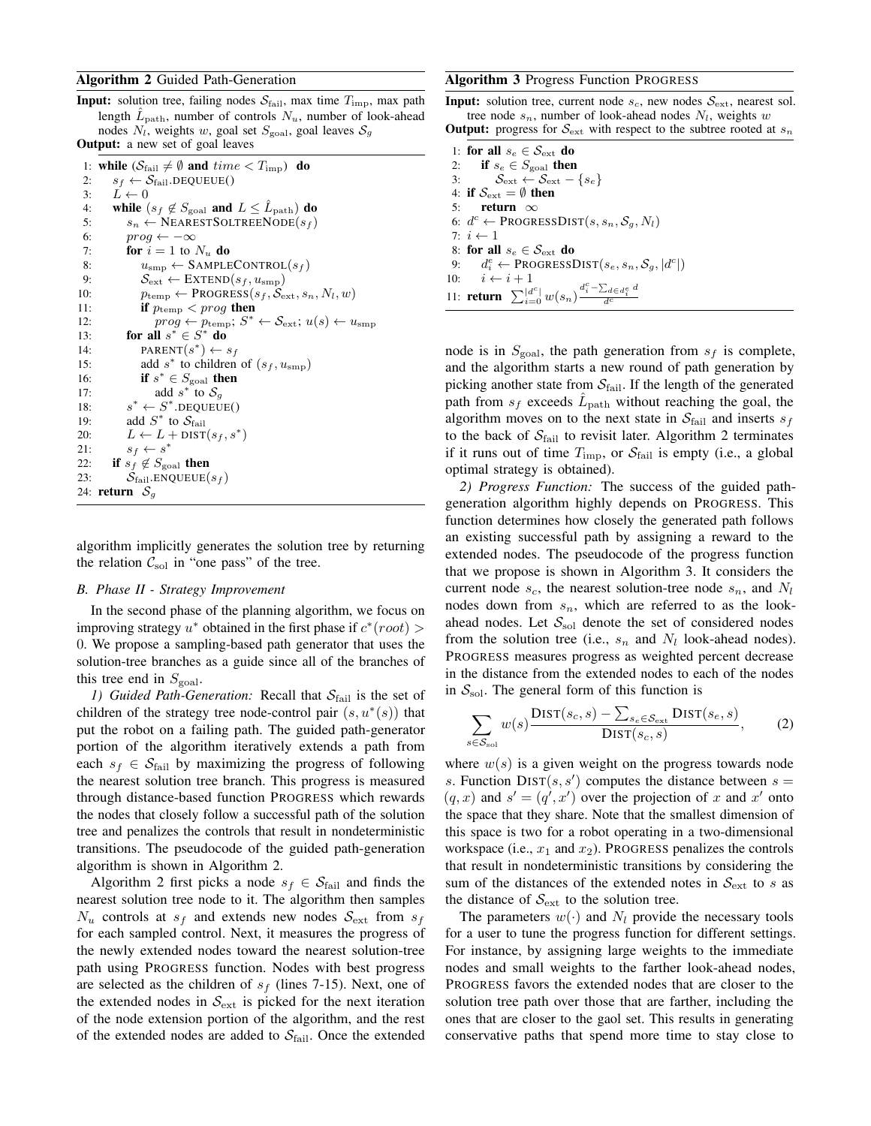### Algorithm 2 Guided Path-Generation

**Input:** solution tree, failing nodes  $S<sub>fail</sub>$ , max time  $T<sub>imp</sub>$ , max path length  $L_{\text{path}}$ , number of controls  $N_u$ , number of look-ahead nodes  $N_l$ , weights w, goal set  $S_{\text{goal}}$ , goal leaves  $S_g$ Output: a new set of goal leaves

|     | 1: while ( $S_{\text{fail}} \neq \emptyset$ and $time < T_{\text{imp}}$ ) do |
|-----|------------------------------------------------------------------------------|
| 2:  | $s_f \leftarrow S_{\text{fail}}$ .DEQUEUE()                                  |
| 3:  | $L \leftarrow 0$                                                             |
| 4:  | while $(s_f \notin S_{\text{goal}}$ and $L \leq L_{\text{path}})$ do         |
| 5:  | $s_n \leftarrow$ NEARESTSOLTREENODE $(s_f)$                                  |
| 6:  | $prog \leftarrow -\infty$                                                    |
| 7:  | for $i = 1$ to $N_u$ do                                                      |
| 8:  | $u_{\rm smp} \leftarrow$ SAMPLECONTROL $(s_f)$                               |
| 9:  | $\mathcal{S}_{\text{ext}} \leftarrow \text{EXTEND}(s_f, u_{\text{smp}})$     |
| 10: | $p_{temp} \leftarrow$ PROGRESS $(s_f, S_{ext}, s_n, N_l, w)$                 |
| 11: | if $p_{temp} < prog$ then                                                    |
| 12: | $prog \leftarrow p_{temp}; S^* \leftarrow S_{ext}; u(s) \leftarrow u_{smp}$  |
| 13: | for all $s^* \in S^*$ do                                                     |
| 14: | PARENT $(s^*) \leftarrow s_f$                                                |
| 15: | add $s^*$ to children of $(s_f, u_{\text{sup}})$                             |
| 16: | if $s^* \in S_{\text{goal}}$ then                                            |
| 17: | add $s^*$ to $\mathcal{S}_g$                                                 |
| 18: | $s^* \leftarrow S^*$ .DEQUEUE()                                              |
| 19: | add $S^*$ to $S_{\text{fail}}$                                               |
| 20: | $L \leftarrow L + \text{DIST}(s_f, s^*)$                                     |
| 21: | $s_f \leftarrow s^*$                                                         |
| 22: | if $s_f \notin S_{\text{goal}}$ then                                         |
| 23: | $\mathcal{S}_{\text{fail}}$ . ENQUEUE $(s_f)$                                |
|     | 24: return $S_a$                                                             |

algorithm implicitly generates the solution tree by returning the relation  $C_{\text{sol}}$  in "one pass" of the tree.

# *B. Phase II - Strategy Improvement*

In the second phase of the planning algorithm, we focus on improving strategy  $u^*$  obtained in the first phase if  $c^*(root)$ 0. We propose a sampling-based path generator that uses the solution-tree branches as a guide since all of the branches of this tree end in  $S_{\text{goal}}$ .

*1)* Guided Path-Generation: Recall that  $S<sub>fail</sub>$  is the set of children of the strategy tree node-control pair  $(s, u^*(s))$  that put the robot on a failing path. The guided path-generator portion of the algorithm iteratively extends a path from each  $s_f \in S_{\text{fail}}$  by maximizing the progress of following the nearest solution tree branch. This progress is measured through distance-based function PROGRESS which rewards the nodes that closely follow a successful path of the solution tree and penalizes the controls that result in nondeterministic transitions. The pseudocode of the guided path-generation algorithm is shown in Algorithm 2.

Algorithm 2 first picks a node  $s_f \in S_{\text{fail}}$  and finds the nearest solution tree node to it. The algorithm then samples  $N_u$  controls at  $s_f$  and extends new nodes  $S_{ext}$  from  $s_f$ for each sampled control. Next, it measures the progress of the newly extended nodes toward the nearest solution-tree path using PROGRESS function. Nodes with best progress are selected as the children of  $s_f$  (lines 7-15). Next, one of the extended nodes in  $\mathcal{S}_{ext}$  is picked for the next iteration of the node extension portion of the algorithm, and the rest of the extended nodes are added to  $S<sub>fail</sub>$ . Once the extended

## Algorithm 3 Progress Function PROGRESS

**Input:** solution tree, current node  $s_c$ , new nodes  $\mathcal{S}_{ext}$ , nearest sol. tree node  $s_n$ , number of look-ahead nodes  $N_l$ , weights w **Output:** progress for  $S_{\text{ext}}$  with respect to the subtree rooted at  $s_n$ 

1: for all  $s_e \in S_{ext}$  do<br>2: if  $s_e \in S_{\text{goal}}$  then 2: if  $s_e \in S_{\text{goal}}$  then<br>3:  $S_{\text{ext}} \leftarrow S_{\text{ext}}$  –  $\mathcal{S}_{\mathrm{ext}} \leftarrow \mathcal{S}_{\mathrm{ext}} - \{s_e\}$ 4: if  $S_{\text{ext}} = \emptyset$  then<br>5: **return**  $\infty$ 5: return ∞ 6:  $d^c \leftarrow \text{PROGRESSDIST}(s, s_n, \mathcal{S}_g, N_l)$ 7:  $i \leftarrow 1$ 8: for all  $s_e \in S_{ext}$  do<br>9:  $d_i^e \leftarrow$  Progressl 9:  $d_i^e \leftarrow \text{PROGRESSDIST}(s_e, s_n, \mathcal{S}_g, |d^c|)$ 10:  $i \leftarrow i + 1$ 11: **return**  $\sum_{i=0}^{|d^c|} w(s_n) \frac{d_i^c - \sum_{d \in d_i^c} d}{d^c}$  $d^c$ 

node is in  $S_{\text{goal}}$ , the path generation from  $s_f$  is complete, and the algorithm starts a new round of path generation by picking another state from  $S<sub>fail</sub>$ . If the length of the generated path from  $s_f$  exceeds  $\hat{L}_{\text{path}}$  without reaching the goal, the algorithm moves on to the next state in  $S<sub>fail</sub>$  and inserts  $s_f$ to the back of  $S<sub>fail</sub>$  to revisit later. Algorithm 2 terminates if it runs out of time  $T_{\text{imp}}$ , or  $S_{\text{fail}}$  is empty (i.e., a global optimal strategy is obtained).

*2) Progress Function:* The success of the guided pathgeneration algorithm highly depends on PROGRESS. This function determines how closely the generated path follows an existing successful path by assigning a reward to the extended nodes. The pseudocode of the progress function that we propose is shown in Algorithm 3. It considers the current node  $s_c$ , the nearest solution-tree node  $s_n$ , and  $N_l$ nodes down from  $s_n$ , which are referred to as the lookahead nodes. Let  $S_{\text{sol}}$  denote the set of considered nodes from the solution tree (i.e.,  $s_n$  and  $N_l$  look-ahead nodes). PROGRESS measures progress as weighted percent decrease in the distance from the extended nodes to each of the nodes in  $S_{\text{sol}}$ . The general form of this function is

$$
\sum_{s \in \mathcal{S}_{\text{sol}}} w(s) \frac{\text{DIST}(s_c, s) - \sum_{s_e \in \mathcal{S}_{\text{ext}}} \text{DIST}(s_e, s)}{\text{DIST}(s_c, s)},\tag{2}
$$

where  $w(s)$  is a given weight on the progress towards node s. Function  $DIST(s, s')$  computes the distance between  $s =$  $(q, x)$  and  $s' = (q', x')$  over the projection of x and x' onto the space that they share. Note that the smallest dimension of this space is two for a robot operating in a two-dimensional workspace (i.e.,  $x_1$  and  $x_2$ ). PROGRESS penalizes the controls that result in nondeterministic transitions by considering the sum of the distances of the extended notes in  $S_{\text{ext}}$  to s as the distance of  $S_{\text{ext}}$  to the solution tree.

The parameters  $w(\cdot)$  and  $N_l$  provide the necessary tools for a user to tune the progress function for different settings. For instance, by assigning large weights to the immediate nodes and small weights to the farther look-ahead nodes, PROGRESS favors the extended nodes that are closer to the solution tree path over those that are farther, including the ones that are closer to the gaol set. This results in generating conservative paths that spend more time to stay close to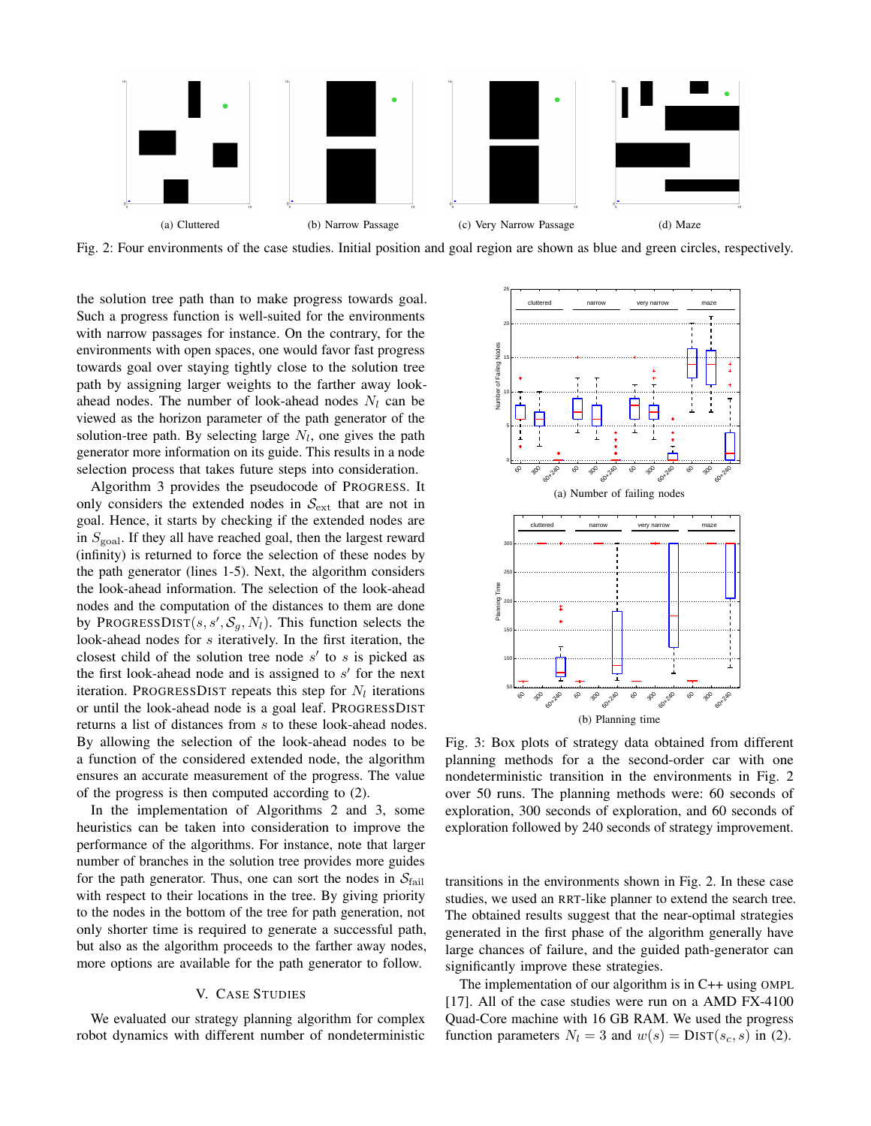

Fig. 2: Four environments of the case studies. Initial position and goal region are shown as blue and green circles, respectively.

the solution tree path than to make progress towards goal. Such a progress function is well-suited for the environments with narrow passages for instance. On the contrary, for the environments with open spaces, one would favor fast progress towards goal over staying tightly close to the solution tree path by assigning larger weights to the farther away lookahead nodes. The number of look-ahead nodes  $N_l$  can be viewed as the horizon parameter of the path generator of the solution-tree path. By selecting large  $N_l$ , one gives the path generator more information on its guide. This results in a node selection process that takes future steps into consideration.

Algorithm 3 provides the pseudocode of PROGRESS. It only considers the extended nodes in  $S_{\text{ext}}$  that are not in goal. Hence, it starts by checking if the extended nodes are in  $S_{\text{goal}}$ . If they all have reached goal, then the largest reward (infinity) is returned to force the selection of these nodes by the path generator (lines 1-5). Next, the algorithm considers the look-ahead information. The selection of the look-ahead nodes and the computation of the distances to them are done by PROGRESS $DIST(s, s', \mathcal{S}_g, N_l)$ . This function selects the look-ahead nodes for s iteratively. In the first iteration, the closest child of the solution tree node  $s'$  to s is picked as the first look-ahead node and is assigned to  $s'$  for the next iteration. PROGRESSDIST repeats this step for  $N_l$  iterations or until the look-ahead node is a goal leaf. PROGRESSDIST returns a list of distances from s to these look-ahead nodes. By allowing the selection of the look-ahead nodes to be a function of the considered extended node, the algorithm ensures an accurate measurement of the progress. The value of the progress is then computed according to (2).

In the implementation of Algorithms 2 and 3, some heuristics can be taken into consideration to improve the performance of the algorithms. For instance, note that larger number of branches in the solution tree provides more guides for the path generator. Thus, one can sort the nodes in  $S<sub>fail</sub>$ with respect to their locations in the tree. By giving priority to the nodes in the bottom of the tree for path generation, not only shorter time is required to generate a successful path, but also as the algorithm proceeds to the farther away nodes, more options are available for the path generator to follow.

# V. CASE STUDIES

We evaluated our strategy planning algorithm for complex robot dynamics with different number of nondeterministic



Fig. 3: Box plots of strategy data obtained from different planning methods for a the second-order car with one nondeterministic transition in the environments in Fig. 2 over 50 runs. The planning methods were: 60 seconds of exploration, 300 seconds of exploration, and 60 seconds of exploration followed by 240 seconds of strategy improvement.

transitions in the environments shown in Fig. 2. In these case studies, we used an RRT-like planner to extend the search tree. The obtained results suggest that the near-optimal strategies generated in the first phase of the algorithm generally have large chances of failure, and the guided path-generator can significantly improve these strategies.

The implementation of our algorithm is in C++ using OMPL [17]. All of the case studies were run on a AMD FX-4100 Quad-Core machine with 16 GB RAM. We used the progress function parameters  $N_l = 3$  and  $w(s) = \text{DIST}(s_c, s)$  in (2).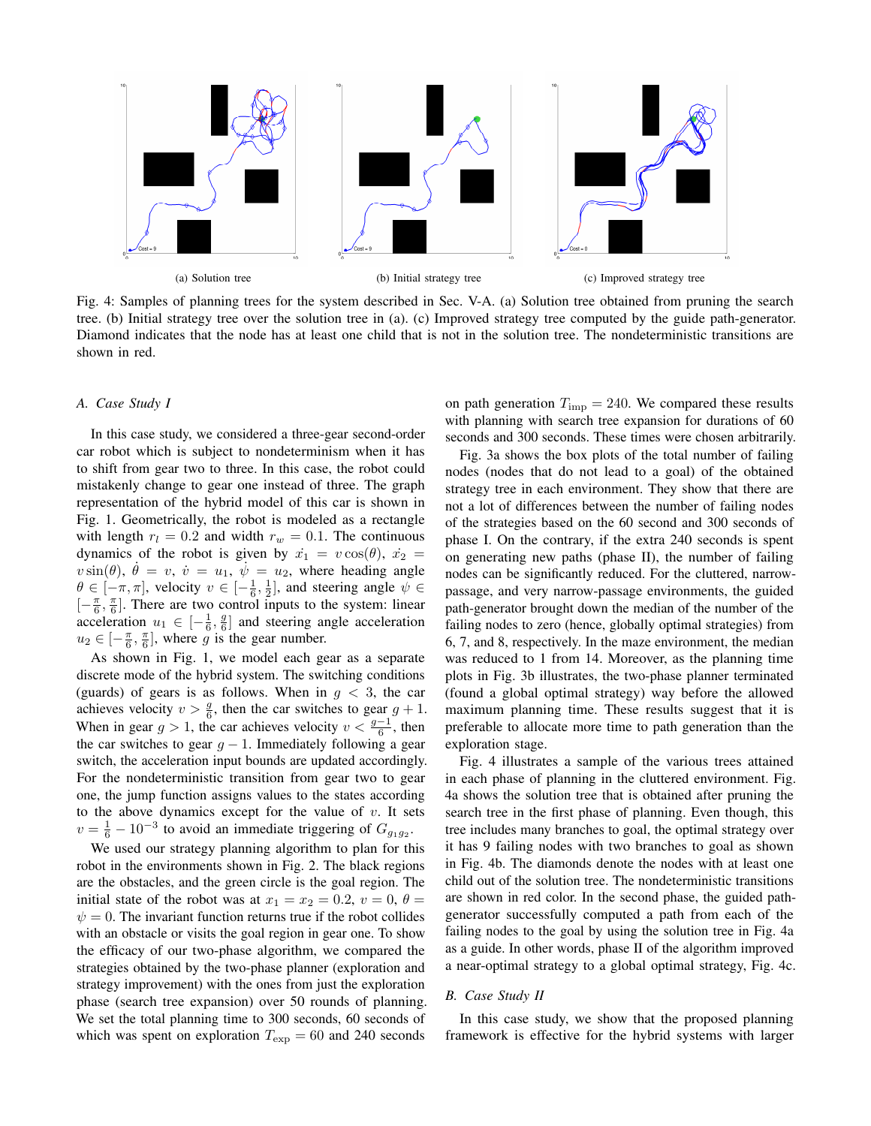

Fig. 4: Samples of planning trees for the system described in Sec. V-A. (a) Solution tree obtained from pruning the search tree. (b) Initial strategy tree over the solution tree in (a). (c) Improved strategy tree computed by the guide path-generator. Diamond indicates that the node has at least one child that is not in the solution tree. The nondeterministic transitions are shown in red.

#### *A. Case Study I*

In this case study, we considered a three-gear second-order car robot which is subject to nondeterminism when it has to shift from gear two to three. In this case, the robot could mistakenly change to gear one instead of three. The graph representation of the hybrid model of this car is shown in Fig. 1. Geometrically, the robot is modeled as a rectangle with length  $r_l = 0.2$  and width  $r_w = 0.1$ . The continuous dynamics of the robot is given by  $\dot{x_1} = v \cos(\theta)$ ,  $\dot{x_2} =$  $v \sin(\theta)$ ,  $\dot{\theta} = v$ ,  $\dot{v} = u_1$ ,  $\dot{\psi} = u_2$ , where heading angle  $\theta \in [-\pi, \pi]$ , velocity  $v \in [-\frac{1}{6}, \frac{1}{2}]$ , and steering angle  $\psi \in$  $[-\frac{\pi}{6}, \frac{\pi}{6}]$ . There are two control inputs to the system: linear acceleration  $u_1 \in \left[-\frac{1}{6}, \frac{g}{6}\right]$  and steering angle acceleration  $u_2 \in [-\frac{\pi}{6}, \frac{\pi}{6}]$ , where  $\hat{g}$  is the gear number.

As shown in Fig. 1, we model each gear as a separate discrete mode of the hybrid system. The switching conditions (guards) of gears is as follows. When in  $g < 3$ , the car achieves velocity  $v > \frac{g}{6}$ , then the car switches to gear  $g + 1$ . When in gear  $g > 1$ , the car achieves velocity  $v < \frac{g-1}{6}$ , then the car switches to gear  $g - 1$ . Immediately following a gear switch, the acceleration input bounds are updated accordingly. For the nondeterministic transition from gear two to gear one, the jump function assigns values to the states according to the above dynamics except for the value of  $v$ . It sets  $v = \frac{1}{6} - 10^{-3}$  to avoid an immediate triggering of  $G_{g_1 g_2}$ .

We used our strategy planning algorithm to plan for this robot in the environments shown in Fig. 2. The black regions are the obstacles, and the green circle is the goal region. The initial state of the robot was at  $x_1 = x_2 = 0.2$ ,  $v = 0$ ,  $\theta =$  $\psi = 0$ . The invariant function returns true if the robot collides with an obstacle or visits the goal region in gear one. To show the efficacy of our two-phase algorithm, we compared the strategies obtained by the two-phase planner (exploration and strategy improvement) with the ones from just the exploration phase (search tree expansion) over 50 rounds of planning. We set the total planning time to 300 seconds, 60 seconds of which was spent on exploration  $T_{\text{exp}} = 60$  and 240 seconds

on path generation  $T_{\text{imp}} = 240$ . We compared these results with planning with search tree expansion for durations of 60 seconds and 300 seconds. These times were chosen arbitrarily.

Fig. 3a shows the box plots of the total number of failing nodes (nodes that do not lead to a goal) of the obtained strategy tree in each environment. They show that there are not a lot of differences between the number of failing nodes of the strategies based on the 60 second and 300 seconds of phase I. On the contrary, if the extra 240 seconds is spent on generating new paths (phase II), the number of failing nodes can be significantly reduced. For the cluttered, narrowpassage, and very narrow-passage environments, the guided path-generator brought down the median of the number of the failing nodes to zero (hence, globally optimal strategies) from 6, 7, and 8, respectively. In the maze environment, the median was reduced to 1 from 14. Moreover, as the planning time plots in Fig. 3b illustrates, the two-phase planner terminated (found a global optimal strategy) way before the allowed maximum planning time. These results suggest that it is preferable to allocate more time to path generation than the exploration stage.

Fig. 4 illustrates a sample of the various trees attained in each phase of planning in the cluttered environment. Fig. 4a shows the solution tree that is obtained after pruning the search tree in the first phase of planning. Even though, this tree includes many branches to goal, the optimal strategy over it has 9 failing nodes with two branches to goal as shown in Fig. 4b. The diamonds denote the nodes with at least one child out of the solution tree. The nondeterministic transitions are shown in red color. In the second phase, the guided pathgenerator successfully computed a path from each of the failing nodes to the goal by using the solution tree in Fig. 4a as a guide. In other words, phase II of the algorithm improved a near-optimal strategy to a global optimal strategy, Fig. 4c.

## *B. Case Study II*

In this case study, we show that the proposed planning framework is effective for the hybrid systems with larger